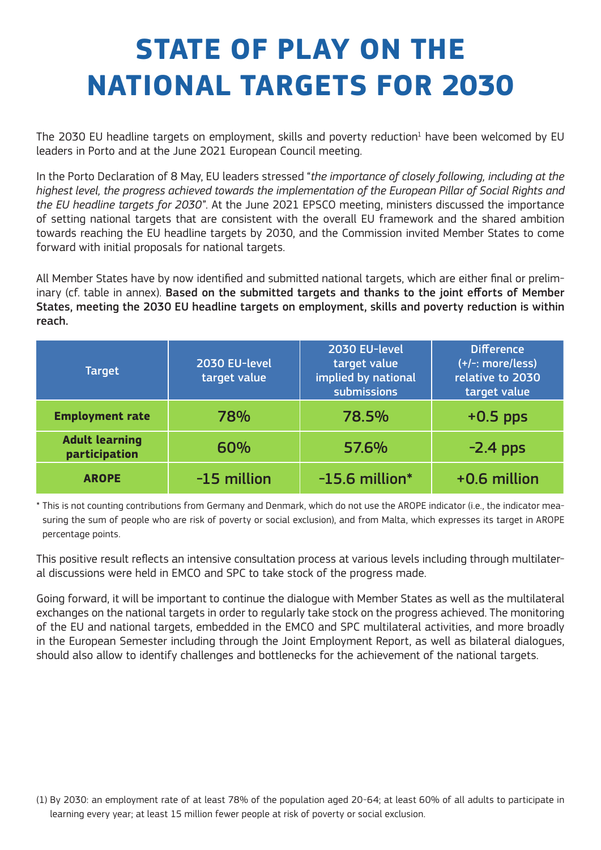## **STATE OF PLAY ON THE NATIONAL TARGETS FOR 2030**

The 2030 EU headline targets on employment, skills and poverty reduction<sup>1</sup> have been welcomed by EU leaders in Porto and at the June 2021 European Council meeting.

In the Porto Declaration of 8 May, EU leaders stressed "*the importance of closely following, including at the highest level, the progress achieved towards the implementation of the European Pillar of Social Rights and the EU headline targets for 2030*". At the June 2021 EPSCO meeting, ministers discussed the importance of setting national targets that are consistent with the overall EU framework and the shared ambition towards reaching the EU headline targets by 2030, and the Commission invited Member States to come forward with initial proposals for national targets.

All Member States have by now identified and submitted national targets, which are either final or preliminary (cf. table in annex). Based on the submitted targets and thanks to the joint efforts of Member States, meeting the 2030 EU headline targets on employment, skills and poverty reduction is within reach.

| <b>Target</b>                          | 2030 EU-level<br>target value | 2030 EU-level<br>target value<br>implied by national<br>submissions | <b>Difference</b><br>$(+/-: more/less)$<br>relative to 2030<br>target value |
|----------------------------------------|-------------------------------|---------------------------------------------------------------------|-----------------------------------------------------------------------------|
| <b>Employment rate</b>                 | 78%                           | 78.5%                                                               | $+0.5$ pps                                                                  |
| <b>Adult learning</b><br>participation | 60%                           | 57.6%                                                               | $-2.4$ pps                                                                  |
| <b>AROPE</b>                           | -15 million                   | $-15.6$ million*                                                    | +0.6 million                                                                |

\* This is not counting contributions from Germany and Denmark, which do not use the AROPE indicator (i.e., the indicator measuring the sum of people who are risk of poverty or social exclusion), and from Malta, which expresses its target in AROPE percentage points.

This positive result reflects an intensive consultation process at various levels including through multilateral discussions were held in EMCO and SPC to take stock of the progress made.

Going forward, it will be important to continue the dialogue with Member States as well as the multilateral exchanges on the national targets in order to regularly take stock on the progress achieved. The monitoring of the EU and national targets, embedded in the EMCO and SPC multilateral activities, and more broadly in the European Semester including through the Joint Employment Report, as well as bilateral dialogues, should also allow to identify challenges and bottlenecks for the achievement of the national targets.

<sup>(1)</sup> By 2030: an employment rate of at least 78% of the population aged 20-64; at least 60% of all adults to participate in learning every year; at least 15 million fewer people at risk of poverty or social exclusion.